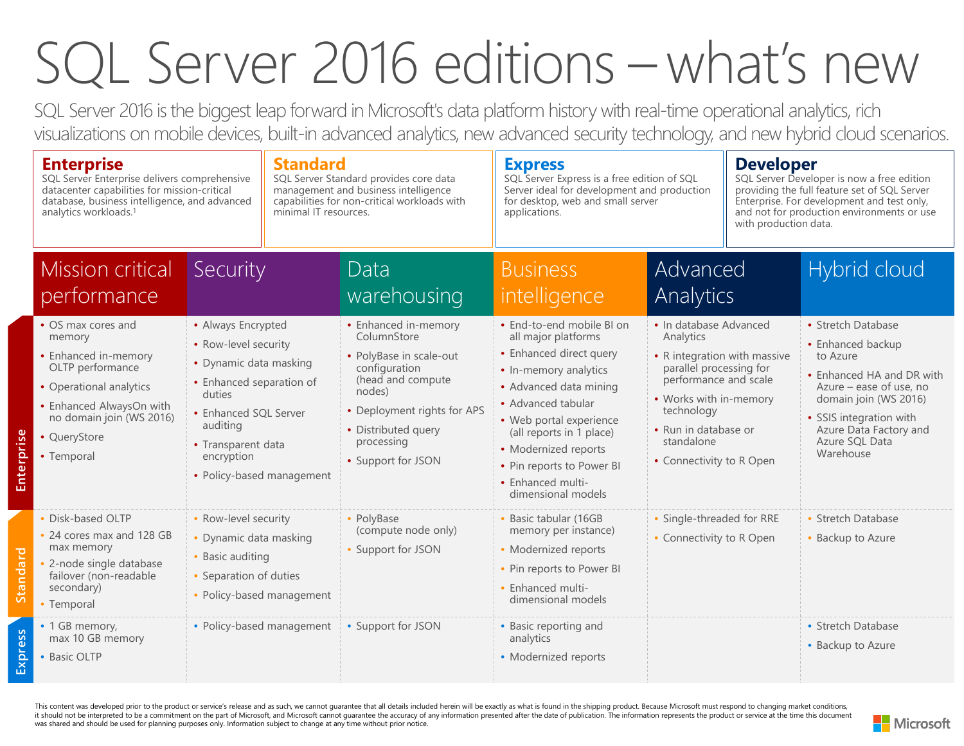## SQL Server 2016 editions –what's new

SQL Server 2016 is the biggest leap forward in Microsoft's data platform history with real-time operational analytics, rich visualizations on mobile devices, built-in advanced analytics, new advanced security technology, and new hybrid cloud scenarios.

|            | <b>Enterprise</b><br>SQL Server Enterprise delivers comprehensive<br>datacenter capabilities for mission-critical<br>database, business intelligence, and advanced<br>analytics workloads. <sup>1</sup> |                                                                                                                                                                                                                  | <b>Standard</b><br>SQL Server Standard provides core data<br>management and business intelligence<br>capabilities for non-critical workloads with<br>minimal IT resources. |                                                                                                                                                                                                          | <b>Express</b><br>SQL Server Express is a free edition of SQL<br>Server ideal for development and production<br>for desktop, web and small server<br>applications.                                                                                                                                          |                                                                                                                                                                                                                                   | <b>Developer</b><br>SQL Server Developer is now a free edition<br>providing the full feature set of SQL Server<br>Enterprise. For development and test only,<br>and not for production environments or use<br>with production data. |                                                                                                                                                                                                                          |  |
|------------|---------------------------------------------------------------------------------------------------------------------------------------------------------------------------------------------------------|------------------------------------------------------------------------------------------------------------------------------------------------------------------------------------------------------------------|----------------------------------------------------------------------------------------------------------------------------------------------------------------------------|----------------------------------------------------------------------------------------------------------------------------------------------------------------------------------------------------------|-------------------------------------------------------------------------------------------------------------------------------------------------------------------------------------------------------------------------------------------------------------------------------------------------------------|-----------------------------------------------------------------------------------------------------------------------------------------------------------------------------------------------------------------------------------|-------------------------------------------------------------------------------------------------------------------------------------------------------------------------------------------------------------------------------------|--------------------------------------------------------------------------------------------------------------------------------------------------------------------------------------------------------------------------|--|
|            | <b>Mission critical</b><br>performance                                                                                                                                                                  | Security                                                                                                                                                                                                         |                                                                                                                                                                            | Data<br>warehousing                                                                                                                                                                                      | <b>Business</b><br>intelligence                                                                                                                                                                                                                                                                             | Advanced<br>Analytics                                                                                                                                                                                                             |                                                                                                                                                                                                                                     | Hybrid cloud                                                                                                                                                                                                             |  |
| Enterprise | • OS max cores and<br>memory<br>• Enhanced in-memory<br>OLTP performance<br>• Operational analytics<br>• Enhanced AlwaysOn with<br>no domain join (WS 2016)<br>• QueryStore<br>• Temporal               | • Always Encrypted<br>• Row-level security<br>• Dynamic data masking<br>• Enhanced separation of<br>duties<br>• Enhanced SQL Server<br>auditing<br>• Transparent data<br>encryption<br>• Policy-based management |                                                                                                                                                                            | • Enhanced in-memory<br>ColumnStore<br>• PolyBase in scale-out<br>configuration<br>(head and compute<br>nodes)<br>• Deployment rights for APS<br>• Distributed query<br>processing<br>• Support for JSON | · End-to-end mobile BI on<br>all major platforms<br>• Enhanced direct query<br>• In-memory analytics<br>• Advanced data mining<br>• Advanced tabular<br>• Web portal experience<br>(all reports in 1 place)<br>• Modernized reports<br>• Pin reports to Power BI<br>• Enhanced multi-<br>dimensional models | · In database Advanced<br>Analytics<br>• R integration with massive<br>parallel processing for<br>performance and scale<br>• Works with in-memory<br>technology<br>• Run in database or<br>standalone<br>• Connectivity to R Open |                                                                                                                                                                                                                                     | • Stretch Database<br>• Enhanced backup<br>to Azure<br>• Enhanced HA and DR with<br>Azure - ease of use, no<br>domain join (WS 2016)<br>• SSIS integration with<br>Azure Data Factory and<br>Azure SQL Data<br>Warehouse |  |
| Standard   | • Disk-based OLTP<br>• 24 cores max and 128 GB<br>max memory<br>2-node single database<br>failover (non-readable<br>secondary)<br>• Temporal                                                            | • Row-level security<br>• Dynamic data masking<br>• Basic auditing<br>• Separation of duties                                                                                                                     | • Policy-based management                                                                                                                                                  | • PolyBase<br>(compute node only)<br>• Support for JSON                                                                                                                                                  | · Basic tabular (16GB<br>memory per instance)<br>• Modernized reports<br>• Pin reports to Power BI<br>• Enhanced multi-<br>dimensional models                                                                                                                                                               | • Single-threaded for RRE<br>• Connectivity to R Open                                                                                                                                                                             |                                                                                                                                                                                                                                     | • Stretch Database<br>Backup to Azure                                                                                                                                                                                    |  |
| Express    | • 1 GB memory,<br>max 10 GB memory<br>• Basic OLTP                                                                                                                                                      |                                                                                                                                                                                                                  | • Policy-based management                                                                                                                                                  | • Support for JSON                                                                                                                                                                                       | • Basic reporting and<br>analytics<br>• Modernized reports                                                                                                                                                                                                                                                  |                                                                                                                                                                                                                                   |                                                                                                                                                                                                                                     | • Stretch Database<br>• Backup to Azure                                                                                                                                                                                  |  |